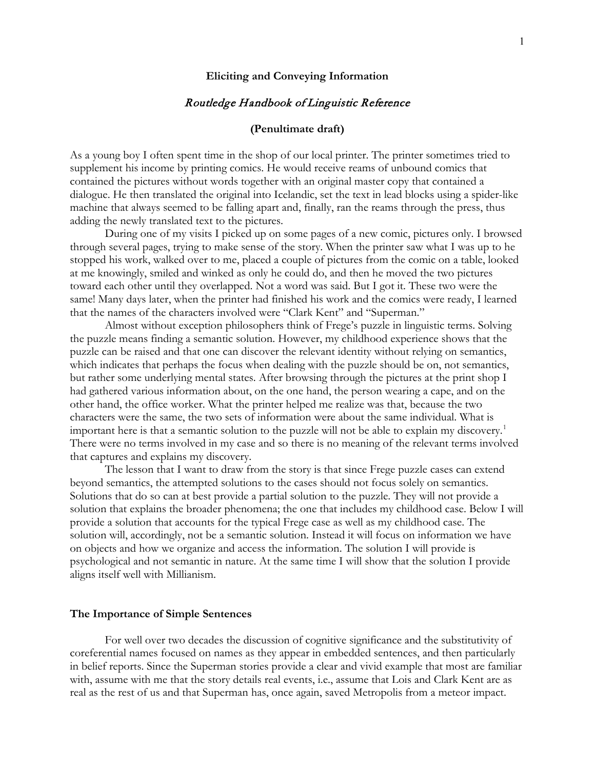# **Eliciting and Conveying Information**

# Routledge Handbook of Linguistic Reference

# **(Penultimate draft)**

As a young boy I often spent time in the shop of our local printer. The printer sometimes tried to supplement his income by printing comics. He would receive reams of unbound comics that contained the pictures without words together with an original master copy that contained a dialogue. He then translated the original into Icelandic, set the text in lead blocks using a spider-like machine that always seemed to be falling apart and, finally, ran the reams through the press, thus adding the newly translated text to the pictures.

During one of my visits I picked up on some pages of a new comic, pictures only. I browsed through several pages, trying to make sense of the story. When the printer saw what I was up to he stopped his work, walked over to me, placed a couple of pictures from the comic on a table, looked at me knowingly, smiled and winked as only he could do, and then he moved the two pictures toward each other until they overlapped. Not a word was said. But I got it. These two were the same! Many days later, when the printer had finished his work and the comics were ready, I learned that the names of the characters involved were "Clark Kent" and "Superman."

Almost without exception philosophers think of Frege's puzzle in linguistic terms. Solving the puzzle means finding a semantic solution. However, my childhood experience shows that the puzzle can be raised and that one can discover the relevant identity without relying on semantics, which indicates that perhaps the focus when dealing with the puzzle should be on, not semantics, but rather some underlying mental states. After browsing through the pictures at the print shop I had gathered various information about, on the one hand, the person wearing a cape, and on the other hand, the office worker. What the printer helped me realize was that, because the two characters were the same, the two sets of information were about the same individual. What is important here is that a semantic solution to the puzzle will not be able to explain my discovery.[1](#page-11-0) There were no terms involved in my case and so there is no meaning of the relevant terms involved that captures and explains my discovery.

The lesson that I want to draw from the story is that since Frege puzzle cases can extend beyond semantics, the attempted solutions to the cases should not focus solely on semantics. Solutions that do so can at best provide a partial solution to the puzzle. They will not provide a solution that explains the broader phenomena; the one that includes my childhood case. Below I will provide a solution that accounts for the typical Frege case as well as my childhood case. The solution will, accordingly, not be a semantic solution. Instead it will focus on information we have on objects and how we organize and access the information. The solution I will provide is psychological and not semantic in nature. At the same time I will show that the solution I provide aligns itself well with Millianism.

### **The Importance of Simple Sentences**

For well over two decades the discussion of cognitive significance and the substitutivity of coreferential names focused on names as they appear in embedded sentences, and then particularly in belief reports. Since the Superman stories provide a clear and vivid example that most are familiar with, assume with me that the story details real events, i.e., assume that Lois and Clark Kent are as real as the rest of us and that Superman has, once again, saved Metropolis from a meteor impact.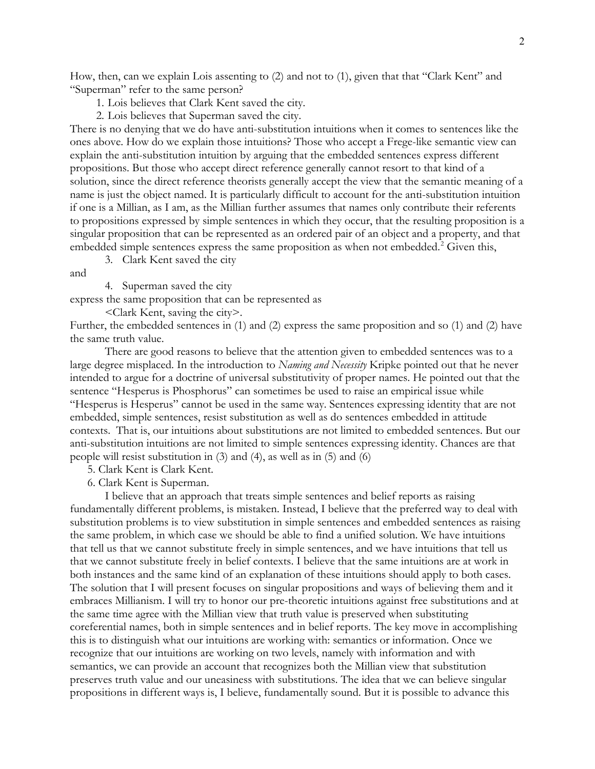How, then, can we explain Lois assenting to (2) and not to (1), given that that "Clark Kent" and "Superman" refer to the same person?

1. Lois believes that Clark Kent saved the city.

2. Lois believes that Superman saved the city.

There is no denying that we do have anti-substitution intuitions when it comes to sentences like the ones above. How do we explain those intuitions? Those who accept a Frege-like semantic view can explain the anti-substitution intuition by arguing that the embedded sentences express different propositions. But those who accept direct reference generally cannot resort to that kind of a solution, since the direct reference theorists generally accept the view that the semantic meaning of a name is just the object named. It is particularly difficult to account for the anti-substitution intuition if one is a Millian, as I am, as the Millian further assumes that names only contribute their referents to propositions expressed by simple sentences in which they occur, that the resulting proposition is a singular proposition that can be represented as an ordered pair of an object and a property, and that embedded simple sentences express the same proposition as when not embedded.<sup>[2](#page-11-1)</sup> Given this,

3. Clark Kent saved the city

and

4. Superman saved the city

express the same proposition that can be represented as

<Clark Kent, saving the city>.

Further, the embedded sentences in (1) and (2) express the same proposition and so (1) and (2) have the same truth value.

There are good reasons to believe that the attention given to embedded sentences was to a large degree misplaced. In the introduction to *Naming and Necessity* Kripke pointed out that he never intended to argue for a doctrine of universal substitutivity of proper names. He pointed out that the sentence "Hesperus is Phosphorus" can sometimes be used to raise an empirical issue while "Hesperus is Hesperus" cannot be used in the same way. Sentences expressing identity that are not embedded, simple sentences, resist substitution as well as do sentences embedded in attitude contexts. That is, our intuitions about substitutions are not limited to embedded sentences. But our anti-substitution intuitions are not limited to simple sentences expressing identity. Chances are that people will resist substitution in (3) and (4), as well as in (5) and (6)

5. Clark Kent is Clark Kent.

6. Clark Kent is Superman.

I believe that an approach that treats simple sentences and belief reports as raising fundamentally different problems, is mistaken. Instead, I believe that the preferred way to deal with substitution problems is to view substitution in simple sentences and embedded sentences as raising the same problem, in which case we should be able to find a unified solution. We have intuitions that tell us that we cannot substitute freely in simple sentences, and we have intuitions that tell us that we cannot substitute freely in belief contexts. I believe that the same intuitions are at work in both instances and the same kind of an explanation of these intuitions should apply to both cases. The solution that I will present focuses on singular propositions and ways of believing them and it embraces Millianism. I will try to honor our pre-theoretic intuitions against free substitutions and at the same time agree with the Millian view that truth value is preserved when substituting coreferential names, both in simple sentences and in belief reports. The key move in accomplishing this is to distinguish what our intuitions are working with: semantics or information. Once we recognize that our intuitions are working on two levels, namely with information and with semantics, we can provide an account that recognizes both the Millian view that substitution preserves truth value and our uneasiness with substitutions. The idea that we can believe singular propositions in different ways is, I believe, fundamentally sound. But it is possible to advance this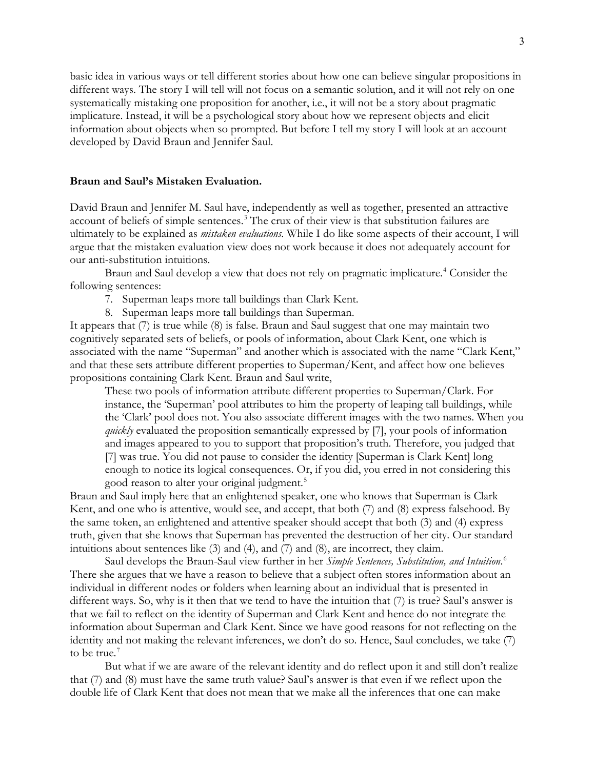basic idea in various ways or tell different stories about how one can believe singular propositions in different ways. The story I will tell will not focus on a semantic solution, and it will not rely on one systematically mistaking one proposition for another, i.e., it will not be a story about pragmatic implicature. Instead, it will be a psychological story about how we represent objects and elicit information about objects when so prompted. But before I tell my story I will look at an account developed by David Braun and Jennifer Saul.

### **Braun and Saul's Mistaken Evaluation.**

David Braun and Jennifer M. Saul have, independently as well as together, presented an attractive account of beliefs of simple sentences. [3](#page-11-2) The crux of their view is that substitution failures are ultimately to be explained as *mistaken evaluations*. While I do like some aspects of their account, I will argue that the mistaken evaluation view does not work because it does not adequately account for our anti-substitution intuitions.

Braun and Saul develop a view that does not rely on pragmatic implicature. [4](#page-11-3) Consider the following sentences:

- 7. Superman leaps more tall buildings than Clark Kent.
- 8. Superman leaps more tall buildings than Superman.

It appears that (7) is true while (8) is false. Braun and Saul suggest that one may maintain two cognitively separated sets of beliefs, or pools of information, about Clark Kent, one which is associated with the name "Superman" and another which is associated with the name "Clark Kent," and that these sets attribute different properties to Superman/Kent, and affect how one believes propositions containing Clark Kent. Braun and Saul write,

These two pools of information attribute different properties to Superman/Clark. For instance, the 'Superman' pool attributes to him the property of leaping tall buildings, while the 'Clark' pool does not. You also associate different images with the two names. When you *quickly* evaluated the proposition semantically expressed by [7], your pools of information and images appeared to you to support that proposition's truth. Therefore, you judged that [7] was true. You did not pause to consider the identity [Superman is Clark Kent] long enough to notice its logical consequences. Or, if you did, you erred in not considering this good reason to alter your original judgment.<sup>[5](#page-11-4)</sup>

Braun and Saul imply here that an enlightened speaker, one who knows that Superman is Clark Kent, and one who is attentive, would see, and accept, that both (7) and (8) express falsehood. By the same token, an enlightened and attentive speaker should accept that both (3) and (4) express truth, given that she knows that Superman has prevented the destruction of her city. Our standard intuitions about sentences like (3) and (4), and (7) and (8), are incorrect, they claim.

Saul develops the Braun-Saul view further in her *Simple Sentences, Substitution, and Intuition*. [6](#page-11-5) There she argues that we have a reason to believe that a subject often stores information about an individual in different nodes or folders when learning about an individual that is presented in different ways. So, why is it then that we tend to have the intuition that (7) is true? Saul's answer is that we fail to reflect on the identity of Superman and Clark Kent and hence do not integrate the information about Superman and Clark Kent. Since we have good reasons for not reflecting on the identity and not making the relevant inferences, we don't do so. Hence, Saul concludes, we take (7) to be true.<sup>[7](#page-11-6)</sup>

But what if we are aware of the relevant identity and do reflect upon it and still don't realize that (7) and (8) must have the same truth value? Saul's answer is that even if we reflect upon the double life of Clark Kent that does not mean that we make all the inferences that one can make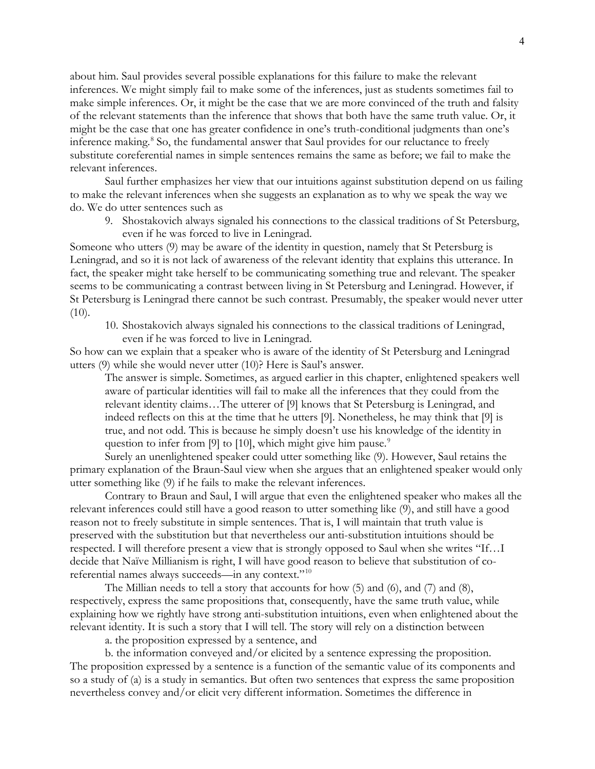about him. Saul provides several possible explanations for this failure to make the relevant inferences. We might simply fail to make some of the inferences, just as students sometimes fail to make simple inferences. Or, it might be the case that we are more convinced of the truth and falsity of the relevant statements than the inference that shows that both have the same truth value. Or, it might be the case that one has greater confidence in one's truth-conditional judgments than one's inference making.<sup>[8](#page-12-0)</sup> So, the fundamental answer that Saul provides for our reluctance to freely substitute coreferential names in simple sentences remains the same as before; we fail to make the relevant inferences.

Saul further emphasizes her view that our intuitions against substitution depend on us failing to make the relevant inferences when she suggests an explanation as to why we speak the way we do. We do utter sentences such as

9. Shostakovich always signaled his connections to the classical traditions of St Petersburg, even if he was forced to live in Leningrad.

Someone who utters (9) may be aware of the identity in question, namely that St Petersburg is Leningrad, and so it is not lack of awareness of the relevant identity that explains this utterance. In fact, the speaker might take herself to be communicating something true and relevant. The speaker seems to be communicating a contrast between living in St Petersburg and Leningrad. However, if St Petersburg is Leningrad there cannot be such contrast. Presumably, the speaker would never utter  $(10).$ 

10. Shostakovich always signaled his connections to the classical traditions of Leningrad, even if he was forced to live in Leningrad.

So how can we explain that a speaker who is aware of the identity of St Petersburg and Leningrad utters (9) while she would never utter (10)? Here is Saul's answer.

The answer is simple. Sometimes, as argued earlier in this chapter, enlightened speakers well aware of particular identities will fail to make all the inferences that they could from the relevant identity claims…The utterer of [9] knows that St Petersburg is Leningrad, and indeed reflects on this at the time that he utters [9]. Nonetheless, he may think that [9] is true, and not odd. This is because he simply doesn't use his knowledge of the identity in question to infer from [[9](#page-12-1)] to [10], which might give him pause.<sup>9</sup>

Surely an unenlightened speaker could utter something like (9). However, Saul retains the primary explanation of the Braun-Saul view when she argues that an enlightened speaker would only utter something like (9) if he fails to make the relevant inferences.

Contrary to Braun and Saul, I will argue that even the enlightened speaker who makes all the relevant inferences could still have a good reason to utter something like (9), and still have a good reason not to freely substitute in simple sentences. That is, I will maintain that truth value is preserved with the substitution but that nevertheless our anti-substitution intuitions should be respected. I will therefore present a view that is strongly opposed to Saul when she writes "If…I decide that Naïve Millianism is right, I will have good reason to believe that substitution of coreferential names always succeeds—in any context."[10](#page-12-2)

The Millian needs to tell a story that accounts for how (5) and (6), and (7) and (8), respectively, express the same propositions that, consequently, have the same truth value, while explaining how we rightly have strong anti-substitution intuitions, even when enlightened about the relevant identity. It is such a story that I will tell. The story will rely on a distinction between

a. the proposition expressed by a sentence, and

b. the information conveyed and/or elicited by a sentence expressing the proposition. The proposition expressed by a sentence is a function of the semantic value of its components and so a study of (a) is a study in semantics. But often two sentences that express the same proposition nevertheless convey and/or elicit very different information. Sometimes the difference in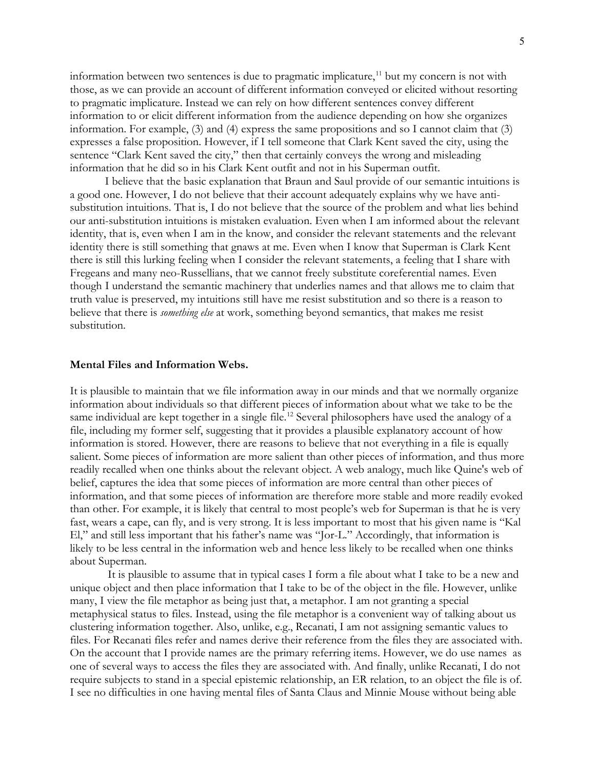information between two sentences is due to pragmatic implicature, [11](#page-12-3) but my concern is not with those, as we can provide an account of different information conveyed or elicited without resorting to pragmatic implicature. Instead we can rely on how different sentences convey different information to or elicit different information from the audience depending on how she organizes information. For example, (3) and (4) express the same propositions and so I cannot claim that (3) expresses a false proposition. However, if I tell someone that Clark Kent saved the city, using the sentence "Clark Kent saved the city," then that certainly conveys the wrong and misleading information that he did so in his Clark Kent outfit and not in his Superman outfit.

I believe that the basic explanation that Braun and Saul provide of our semantic intuitions is a good one. However, I do not believe that their account adequately explains why we have antisubstitution intuitions. That is, I do not believe that the source of the problem and what lies behind our anti-substitution intuitions is mistaken evaluation. Even when I am informed about the relevant identity, that is, even when I am in the know, and consider the relevant statements and the relevant identity there is still something that gnaws at me. Even when I know that Superman is Clark Kent there is still this lurking feeling when I consider the relevant statements, a feeling that I share with Fregeans and many neo-Russellians, that we cannot freely substitute coreferential names. Even though I understand the semantic machinery that underlies names and that allows me to claim that truth value is preserved, my intuitions still have me resist substitution and so there is a reason to believe that there is *something else* at work, something beyond semantics, that makes me resist substitution.

#### **Mental Files and Information Webs.**

It is plausible to maintain that we file information away in our minds and that we normally organize information about individuals so that different pieces of information about what we take to be the same individual are kept together in a single file.<sup>[12](#page-12-4)</sup> Several philosophers have used the analogy of a file, including my former self, suggesting that it provides a plausible explanatory account of how information is stored. However, there are reasons to believe that not everything in a file is equally salient. Some pieces of information are more salient than other pieces of information, and thus more readily recalled when one thinks about the relevant object. A web analogy, much like Quine's web of belief, captures the idea that some pieces of information are more central than other pieces of information, and that some pieces of information are therefore more stable and more readily evoked than other. For example, it is likely that central to most people's web for Superman is that he is very fast, wears a cape, can fly, and is very strong. It is less important to most that his given name is "Kal El," and still less important that his father's name was "Jor-L." Accordingly, that information is likely to be less central in the information web and hence less likely to be recalled when one thinks about Superman.

It is plausible to assume that in typical cases I form a file about what I take to be a new and unique object and then place information that I take to be of the object in the file. However, unlike many, I view the file metaphor as being just that, a metaphor. I am not granting a special metaphysical status to files. Instead, using the file metaphor is a convenient way of talking about us clustering information together. Also, unlike, e.g., Recanati, I am not assigning semantic values to files. For Recanati files refer and names derive their reference from the files they are associated with. On the account that I provide names are the primary referring items. However, we do use names as one of several ways to access the files they are associated with. And finally, unlike Recanati, I do not require subjects to stand in a special epistemic relationship, an ER relation, to an object the file is of. I see no difficulties in one having mental files of Santa Claus and Minnie Mouse without being able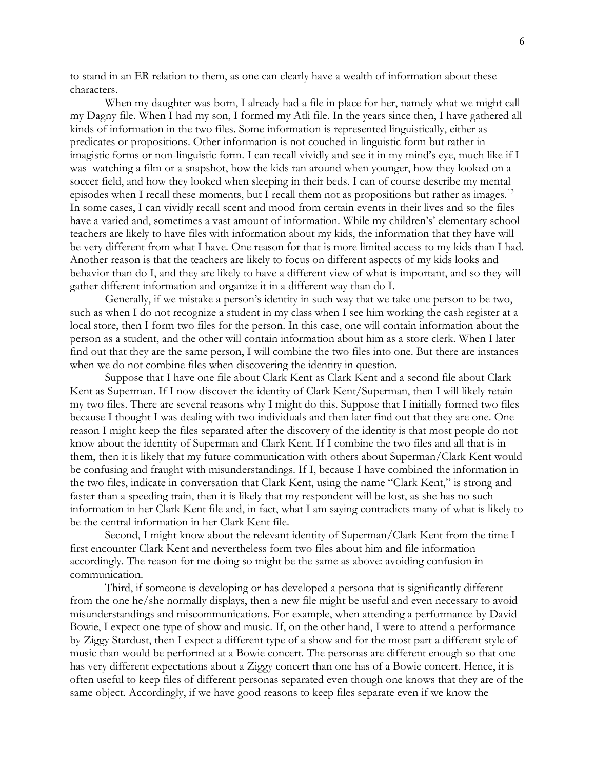to stand in an ER relation to them, as one can clearly have a wealth of information about these characters.

When my daughter was born, I already had a file in place for her, namely what we might call my Dagny file. When I had my son, I formed my Atli file. In the years since then, I have gathered all kinds of information in the two files. Some information is represented linguistically, either as predicates or propositions. Other information is not couched in linguistic form but rather in imagistic forms or non-linguistic form. I can recall vividly and see it in my mind's eye, much like if I was watching a film or a snapshot, how the kids ran around when younger, how they looked on a soccer field, and how they looked when sleeping in their beds. I can of course describe my mental episodes when I recall these moments, but I recall them not as propositions but rather as images.<sup>[13](#page-12-5)</sup> In some cases, I can vividly recall scent and mood from certain events in their lives and so the files have a varied and, sometimes a vast amount of information. While my children's' elementary school teachers are likely to have files with information about my kids, the information that they have will be very different from what I have. One reason for that is more limited access to my kids than I had. Another reason is that the teachers are likely to focus on different aspects of my kids looks and behavior than do I, and they are likely to have a different view of what is important, and so they will gather different information and organize it in a different way than do I.

Generally, if we mistake a person's identity in such way that we take one person to be two, such as when I do not recognize a student in my class when I see him working the cash register at a local store, then I form two files for the person. In this case, one will contain information about the person as a student, and the other will contain information about him as a store clerk. When I later find out that they are the same person, I will combine the two files into one. But there are instances when we do not combine files when discovering the identity in question.

Suppose that I have one file about Clark Kent as Clark Kent and a second file about Clark Kent as Superman. If I now discover the identity of Clark Kent/Superman, then I will likely retain my two files. There are several reasons why I might do this. Suppose that I initially formed two files because I thought I was dealing with two individuals and then later find out that they are one. One reason I might keep the files separated after the discovery of the identity is that most people do not know about the identity of Superman and Clark Kent. If I combine the two files and all that is in them, then it is likely that my future communication with others about Superman/Clark Kent would be confusing and fraught with misunderstandings. If I, because I have combined the information in the two files, indicate in conversation that Clark Kent, using the name "Clark Kent," is strong and faster than a speeding train, then it is likely that my respondent will be lost, as she has no such information in her Clark Kent file and, in fact, what I am saying contradicts many of what is likely to be the central information in her Clark Kent file.

Second, I might know about the relevant identity of Superman/Clark Kent from the time I first encounter Clark Kent and nevertheless form two files about him and file information accordingly. The reason for me doing so might be the same as above: avoiding confusion in communication.

Third, if someone is developing or has developed a persona that is significantly different from the one he/she normally displays, then a new file might be useful and even necessary to avoid misunderstandings and miscommunications. For example, when attending a performance by David Bowie, I expect one type of show and music. If, on the other hand, I were to attend a performance by Ziggy Stardust, then I expect a different type of a show and for the most part a different style of music than would be performed at a Bowie concert. The personas are different enough so that one has very different expectations about a Ziggy concert than one has of a Bowie concert. Hence, it is often useful to keep files of different personas separated even though one knows that they are of the same object. Accordingly, if we have good reasons to keep files separate even if we know the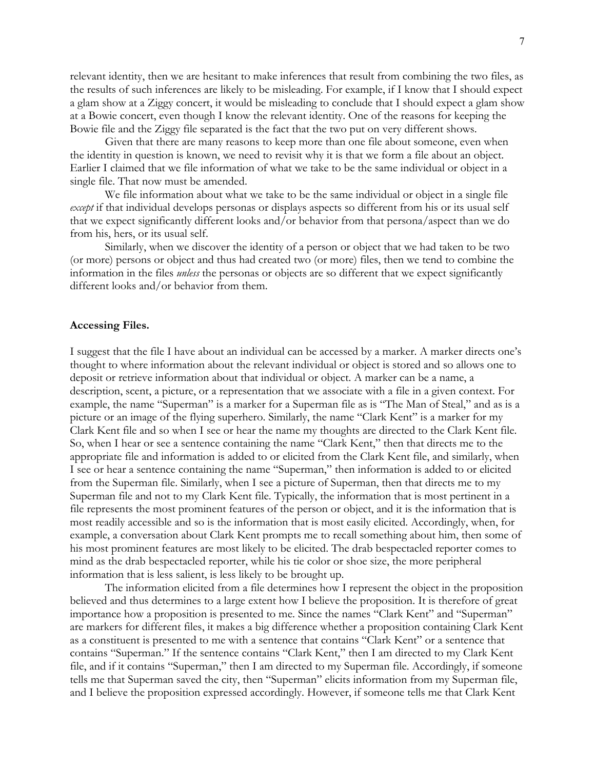relevant identity, then we are hesitant to make inferences that result from combining the two files, as the results of such inferences are likely to be misleading. For example, if I know that I should expect a glam show at a Ziggy concert, it would be misleading to conclude that I should expect a glam show at a Bowie concert, even though I know the relevant identity. One of the reasons for keeping the Bowie file and the Ziggy file separated is the fact that the two put on very different shows.

Given that there are many reasons to keep more than one file about someone, even when the identity in question is known, we need to revisit why it is that we form a file about an object. Earlier I claimed that we file information of what we take to be the same individual or object in a single file. That now must be amended.

We file information about what we take to be the same individual or object in a single file *except* if that individual develops personas or displays aspects so different from his or its usual self that we expect significantly different looks and/or behavior from that persona/aspect than we do from his, hers, or its usual self.

Similarly, when we discover the identity of a person or object that we had taken to be two (or more) persons or object and thus had created two (or more) files, then we tend to combine the information in the files *unless* the personas or objects are so different that we expect significantly different looks and/or behavior from them.

# **Accessing Files.**

I suggest that the file I have about an individual can be accessed by a marker. A marker directs one's thought to where information about the relevant individual or object is stored and so allows one to deposit or retrieve information about that individual or object. A marker can be a name, a description, scent, a picture, or a representation that we associate with a file in a given context. For example, the name "Superman" is a marker for a Superman file as is "The Man of Steal," and as is a picture or an image of the flying superhero. Similarly, the name "Clark Kent" is a marker for my Clark Kent file and so when I see or hear the name my thoughts are directed to the Clark Kent file. So, when I hear or see a sentence containing the name "Clark Kent," then that directs me to the appropriate file and information is added to or elicited from the Clark Kent file, and similarly, when I see or hear a sentence containing the name "Superman," then information is added to or elicited from the Superman file. Similarly, when I see a picture of Superman, then that directs me to my Superman file and not to my Clark Kent file. Typically, the information that is most pertinent in a file represents the most prominent features of the person or object, and it is the information that is most readily accessible and so is the information that is most easily elicited. Accordingly, when, for example, a conversation about Clark Kent prompts me to recall something about him, then some of his most prominent features are most likely to be elicited. The drab bespectacled reporter comes to mind as the drab bespectacled reporter, while his tie color or shoe size, the more peripheral information that is less salient, is less likely to be brought up.

The information elicited from a file determines how I represent the object in the proposition believed and thus determines to a large extent how I believe the proposition. It is therefore of great importance how a proposition is presented to me. Since the names "Clark Kent" and "Superman" are markers for different files, it makes a big difference whether a proposition containing Clark Kent as a constituent is presented to me with a sentence that contains "Clark Kent" or a sentence that contains "Superman." If the sentence contains "Clark Kent," then I am directed to my Clark Kent file, and if it contains "Superman," then I am directed to my Superman file. Accordingly, if someone tells me that Superman saved the city, then "Superman" elicits information from my Superman file, and I believe the proposition expressed accordingly. However, if someone tells me that Clark Kent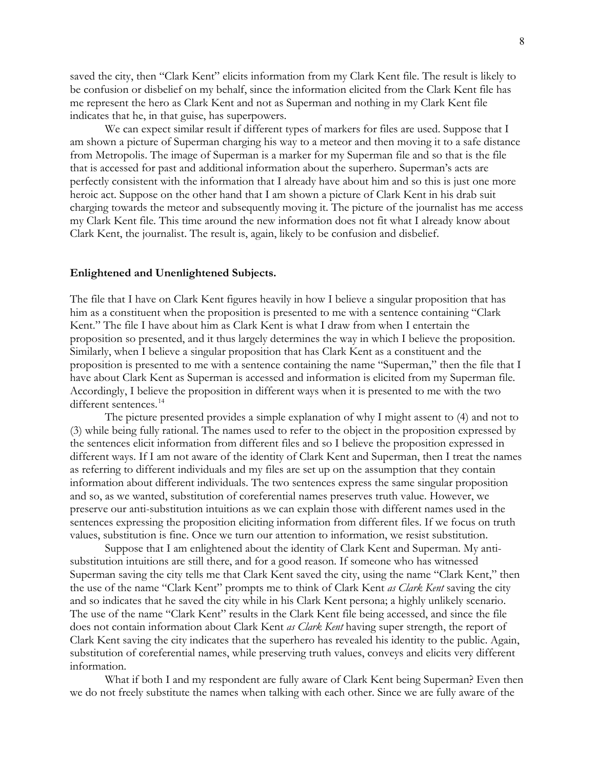saved the city, then "Clark Kent" elicits information from my Clark Kent file. The result is likely to be confusion or disbelief on my behalf, since the information elicited from the Clark Kent file has me represent the hero as Clark Kent and not as Superman and nothing in my Clark Kent file indicates that he, in that guise, has superpowers.

We can expect similar result if different types of markers for files are used. Suppose that I am shown a picture of Superman charging his way to a meteor and then moving it to a safe distance from Metropolis. The image of Superman is a marker for my Superman file and so that is the file that is accessed for past and additional information about the superhero. Superman's acts are perfectly consistent with the information that I already have about him and so this is just one more heroic act. Suppose on the other hand that I am shown a picture of Clark Kent in his drab suit charging towards the meteor and subsequently moving it. The picture of the journalist has me access my Clark Kent file. This time around the new information does not fit what I already know about Clark Kent, the journalist. The result is, again, likely to be confusion and disbelief.

### **Enlightened and Unenlightened Subjects.**

The file that I have on Clark Kent figures heavily in how I believe a singular proposition that has him as a constituent when the proposition is presented to me with a sentence containing "Clark" Kent." The file I have about him as Clark Kent is what I draw from when I entertain the proposition so presented, and it thus largely determines the way in which I believe the proposition. Similarly, when I believe a singular proposition that has Clark Kent as a constituent and the proposition is presented to me with a sentence containing the name "Superman," then the file that I have about Clark Kent as Superman is accessed and information is elicited from my Superman file. Accordingly, I believe the proposition in different ways when it is presented to me with the two different sentences.<sup>[14](#page-12-6)</sup>

The picture presented provides a simple explanation of why I might assent to (4) and not to (3) while being fully rational. The names used to refer to the object in the proposition expressed by the sentences elicit information from different files and so I believe the proposition expressed in different ways. If I am not aware of the identity of Clark Kent and Superman, then I treat the names as referring to different individuals and my files are set up on the assumption that they contain information about different individuals. The two sentences express the same singular proposition and so, as we wanted, substitution of coreferential names preserves truth value. However, we preserve our anti-substitution intuitions as we can explain those with different names used in the sentences expressing the proposition eliciting information from different files. If we focus on truth values, substitution is fine. Once we turn our attention to information, we resist substitution.

Suppose that I am enlightened about the identity of Clark Kent and Superman. My antisubstitution intuitions are still there, and for a good reason. If someone who has witnessed Superman saving the city tells me that Clark Kent saved the city, using the name "Clark Kent," then the use of the name "Clark Kent" prompts me to think of Clark Kent *as Clark Kent* saving the city and so indicates that he saved the city while in his Clark Kent persona; a highly unlikely scenario. The use of the name "Clark Kent" results in the Clark Kent file being accessed, and since the file does not contain information about Clark Kent *as Clark Kent* having super strength, the report of Clark Kent saving the city indicates that the superhero has revealed his identity to the public. Again, substitution of coreferential names, while preserving truth values, conveys and elicits very different information.

What if both I and my respondent are fully aware of Clark Kent being Superman? Even then we do not freely substitute the names when talking with each other. Since we are fully aware of the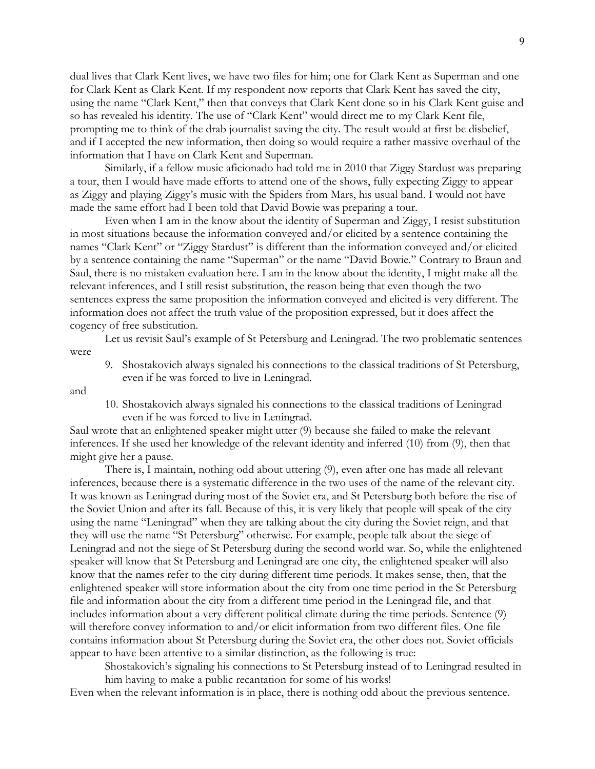dual lives that Clark Kent lives, we have two files for him; one for Clark Kent as Superman and one for Clark Kent as Clark Kent. If my respondent now reports that Clark Kent has saved the city, using the name "Clark Kent," then that conveys that Clark Kent done so in his Clark Kent guise and so has revealed his identity. The use of "Clark Kent" would direct me to my Clark Kent file, prompting me to think of the drab journalist saving the city. The result would at first be disbelief, and if I accepted the new information, then doing so would require a rather massive overhaul of the information that I have on Clark Kent and Superman.

Similarly, if a fellow music aficionado had told me in 2010 that Ziggy Stardust was preparing a tour, then I would have made efforts to attend one of the shows, fully expecting Ziggy to appear as Ziggy and playing Ziggy's music with the Spiders from Mars, his usual band. I would not have made the same effort had I been told that David Bowie was preparing a tour.

Even when I am in the know about the identity of Superman and Ziggy, I resist substitution in most situations because the information conveyed and/or elicited by a sentence containing the names "Clark Kent" or "Ziggy Stardust" is different than the information conveyed and/or elicited by a sentence containing the name "Superman" or the name "David Bowie." Contrary to Braun and Saul, there is no mistaken evaluation here. I am in the know about the identity, I might make all the relevant inferences, and I still resist substitution, the reason being that even though the two sentences express the same proposition the information conveyed and elicited is very different. The information does not affect the truth value of the proposition expressed, but it does affect the cogency of free substitution.

Let us revisit Saul's example of St Petersburg and Leningrad. The two problematic sentences were

9. Shostakovich always signaled his connections to the classical traditions of St Petersburg, even if he was forced to live in Leningrad.

and

10. Shostakovich always signaled his connections to the classical traditions of Leningrad even if he was forced to live in Leningrad.

Saul wrote that an enlightened speaker might utter (9) because she failed to make the relevant inferences. If she used her knowledge of the relevant identity and inferred (10) from (9), then that might give her a pause.

There is, I maintain, nothing odd about uttering (9), even after one has made all relevant inferences, because there is a systematic difference in the two uses of the name of the relevant city. It was known as Leningrad during most of the Soviet era, and St Petersburg both before the rise of the Soviet Union and after its fall. Because of this, it is very likely that people will speak of the city using the name "Leningrad" when they are talking about the city during the Soviet reign, and that they will use the name "St Petersburg" otherwise. For example, people talk about the siege of Leningrad and not the siege of St Petersburg during the second world war. So, while the enlightened speaker will know that St Petersburg and Leningrad are one city, the enlightened speaker will also know that the names refer to the city during different time periods. It makes sense, then, that the enlightened speaker will store information about the city from one time period in the St Petersburg file and information about the city from a different time period in the Leningrad file, and that includes information about a very different political climate during the time periods. Sentence (9) will therefore convey information to and/or elicit information from two different files. One file contains information about St Petersburg during the Soviet era, the other does not. Soviet officials appear to have been attentive to a similar distinction, as the following is true:

Shostakovich's signaling his connections to St Petersburg instead of to Leningrad resulted in him having to make a public recantation for some of his works!

Even when the relevant information is in place, there is nothing odd about the previous sentence.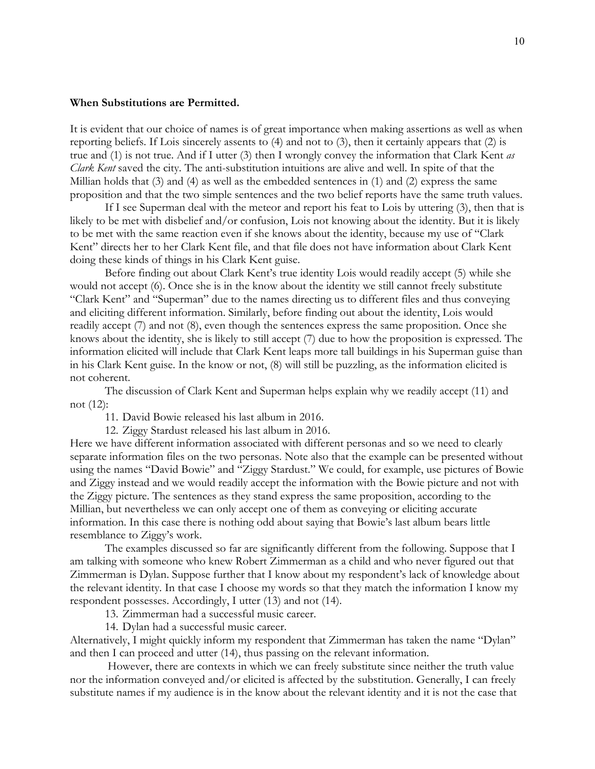### **When Substitutions are Permitted.**

It is evident that our choice of names is of great importance when making assertions as well as when reporting beliefs. If Lois sincerely assents to (4) and not to (3), then it certainly appears that (2) is true and (1) is not true. And if I utter (3) then I wrongly convey the information that Clark Kent *as Clark Kent* saved the city. The anti-substitution intuitions are alive and well. In spite of that the Millian holds that (3) and (4) as well as the embedded sentences in (1) and (2) express the same proposition and that the two simple sentences and the two belief reports have the same truth values.

If I see Superman deal with the meteor and report his feat to Lois by uttering (3), then that is likely to be met with disbelief and/or confusion, Lois not knowing about the identity. But it is likely to be met with the same reaction even if she knows about the identity, because my use of "Clark Kent" directs her to her Clark Kent file, and that file does not have information about Clark Kent doing these kinds of things in his Clark Kent guise.

Before finding out about Clark Kent's true identity Lois would readily accept (5) while she would not accept (6). Once she is in the know about the identity we still cannot freely substitute "Clark Kent" and "Superman" due to the names directing us to different files and thus conveying and eliciting different information. Similarly, before finding out about the identity, Lois would readily accept (7) and not (8), even though the sentences express the same proposition. Once she knows about the identity, she is likely to still accept (7) due to how the proposition is expressed. The information elicited will include that Clark Kent leaps more tall buildings in his Superman guise than in his Clark Kent guise. In the know or not, (8) will still be puzzling, as the information elicited is not coherent.

The discussion of Clark Kent and Superman helps explain why we readily accept (11) and not (12):

11. David Bowie released his last album in 2016.

12. Ziggy Stardust released his last album in 2016.

Here we have different information associated with different personas and so we need to clearly separate information files on the two personas. Note also that the example can be presented without using the names "David Bowie" and "Ziggy Stardust." We could, for example, use pictures of Bowie and Ziggy instead and we would readily accept the information with the Bowie picture and not with the Ziggy picture. The sentences as they stand express the same proposition, according to the Millian, but nevertheless we can only accept one of them as conveying or eliciting accurate information. In this case there is nothing odd about saying that Bowie's last album bears little resemblance to Ziggy's work.

The examples discussed so far are significantly different from the following. Suppose that I am talking with someone who knew Robert Zimmerman as a child and who never figured out that Zimmerman is Dylan. Suppose further that I know about my respondent's lack of knowledge about the relevant identity. In that case I choose my words so that they match the information I know my respondent possesses. Accordingly, I utter (13) and not (14).

13. Zimmerman had a successful music career.

14. Dylan had a successful music career.

Alternatively, I might quickly inform my respondent that Zimmerman has taken the name "Dylan" and then I can proceed and utter (14), thus passing on the relevant information.

However, there are contexts in which we can freely substitute since neither the truth value nor the information conveyed and/or elicited is affected by the substitution. Generally, I can freely substitute names if my audience is in the know about the relevant identity and it is not the case that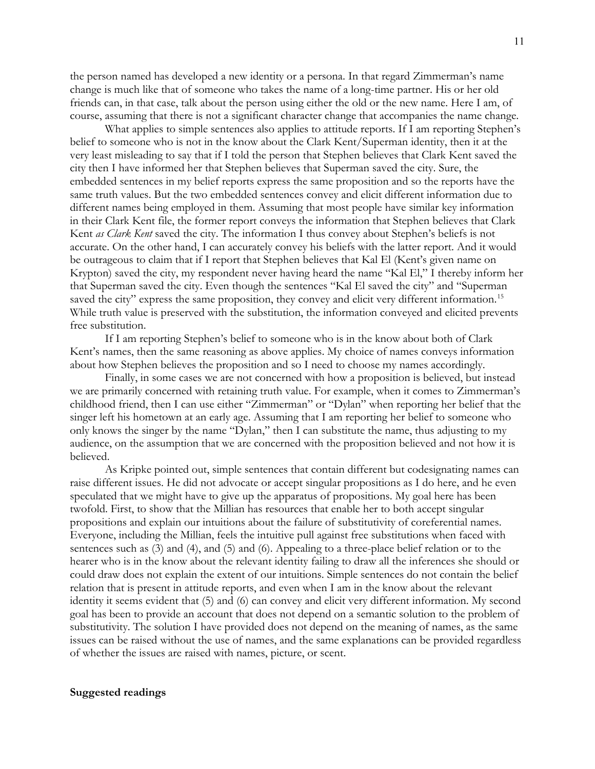the person named has developed a new identity or a persona. In that regard Zimmerman's name change is much like that of someone who takes the name of a long-time partner. His or her old friends can, in that case, talk about the person using either the old or the new name. Here I am, of course, assuming that there is not a significant character change that accompanies the name change.

What applies to simple sentences also applies to attitude reports. If I am reporting Stephen's belief to someone who is not in the know about the Clark Kent/Superman identity, then it at the very least misleading to say that if I told the person that Stephen believes that Clark Kent saved the city then I have informed her that Stephen believes that Superman saved the city. Sure, the embedded sentences in my belief reports express the same proposition and so the reports have the same truth values. But the two embedded sentences convey and elicit different information due to different names being employed in them. Assuming that most people have similar key information in their Clark Kent file, the former report conveys the information that Stephen believes that Clark Kent *as Clark Kent* saved the city. The information I thus convey about Stephen's beliefs is not accurate. On the other hand, I can accurately convey his beliefs with the latter report. And it would be outrageous to claim that if I report that Stephen believes that Kal El (Kent's given name on Krypton) saved the city, my respondent never having heard the name "Kal El," I thereby inform her that Superman saved the city. Even though the sentences "Kal El saved the city" and "Superman saved the city" express the same proposition, they convey and elicit very different information.<sup>[15](#page-12-7)</sup> While truth value is preserved with the substitution, the information conveyed and elicited prevents free substitution.

If I am reporting Stephen's belief to someone who is in the know about both of Clark Kent's names, then the same reasoning as above applies. My choice of names conveys information about how Stephen believes the proposition and so I need to choose my names accordingly.

Finally, in some cases we are not concerned with how a proposition is believed, but instead we are primarily concerned with retaining truth value. For example, when it comes to Zimmerman's childhood friend, then I can use either "Zimmerman" or "Dylan" when reporting her belief that the singer left his hometown at an early age. Assuming that I am reporting her belief to someone who only knows the singer by the name "Dylan," then I can substitute the name, thus adjusting to my audience, on the assumption that we are concerned with the proposition believed and not how it is believed.

As Kripke pointed out, simple sentences that contain different but codesignating names can raise different issues. He did not advocate or accept singular propositions as I do here, and he even speculated that we might have to give up the apparatus of propositions. My goal here has been twofold. First, to show that the Millian has resources that enable her to both accept singular propositions and explain our intuitions about the failure of substitutivity of coreferential names. Everyone, including the Millian, feels the intuitive pull against free substitutions when faced with sentences such as (3) and (4), and (5) and (6). Appealing to a three-place belief relation or to the hearer who is in the know about the relevant identity failing to draw all the inferences she should or could draw does not explain the extent of our intuitions. Simple sentences do not contain the belief relation that is present in attitude reports, and even when I am in the know about the relevant identity it seems evident that (5) and (6) can convey and elicit very different information. My second goal has been to provide an account that does not depend on a semantic solution to the problem of substitutivity. The solution I have provided does not depend on the meaning of names, as the same issues can be raised without the use of names, and the same explanations can be provided regardless of whether the issues are raised with names, picture, or scent.

# **Suggested readings**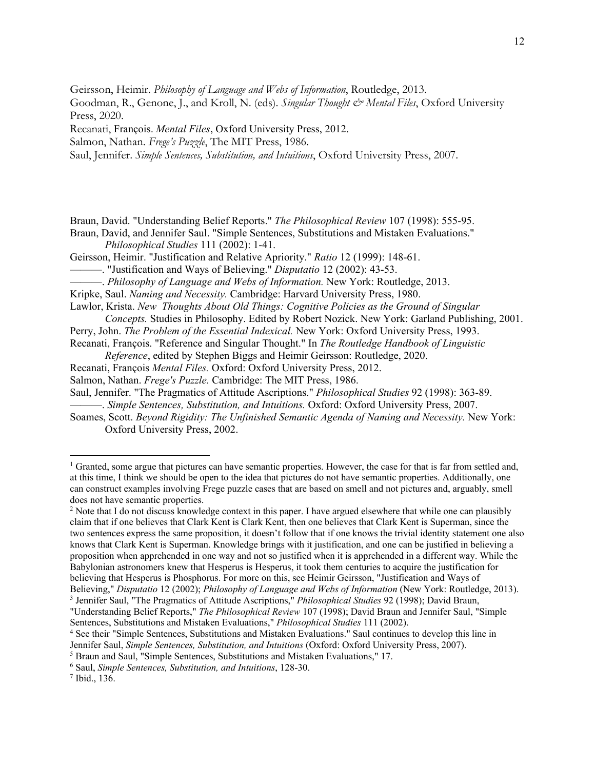Geirsson, Heimir. *Philosophy of Language and Webs of Information*, Routledge, 2013.

Goodman, R., Genone, J., and Kroll, N. (eds). *Singular Thought & Mental Files*, Oxford University Press, 2020.

Recanati, François. *Mental Files*, Oxford University Press, 2012.

Salmon, Nathan. *Frege's Puzzle*, The MIT Press, 1986.

Saul, Jennifer. *Simple Sentences, Substitution, and Intuitions*, Oxford University Press, 2007.

Braun, David. "Understanding Belief Reports." *The Philosophical Review* 107 (1998): 555-95. Braun, David, and Jennifer Saul. "Simple Sentences, Substitutions and Mistaken Evaluations."

*Philosophical Studies* 111 (2002): 1-41.

Geirsson, Heimir. "Justification and Relative Apriority." *Ratio* 12 (1999): 148-61.

———. "Justification and Ways of Believing." *Disputatio* 12 (2002): 43-53.

———. *Philosophy of Language and Webs of Information.* New York: Routledge, 2013.

Kripke, Saul. *Naming and Necessity.* Cambridge: Harvard University Press, 1980.

Lawlor, Krista. *New Thoughts About Old Things: Cognitive Policies as the Ground of Singular* 

*Concepts.* Studies in Philosophy. Edited by Robert Nozick. New York: Garland Publishing, 2001. Perry, John. *The Problem of the Essential Indexical.* New York: Oxford University Press, 1993.

Recanati, François. "Reference and Singular Thought." In *The Routledge Handbook of Linguistic Reference*, edited by Stephen Biggs and Heimir Geirsson: Routledge, 2020.

Recanati, François *Mental Files.* Oxford: Oxford University Press, 2012.

Salmon, Nathan. *Frege's Puzzle.* Cambridge: The MIT Press, 1986.

Saul, Jennifer. "The Pragmatics of Attitude Ascriptions." *Philosophical Studies* 92 (1998): 363-89.

———. *Simple Sentences, Substitution, and Intuitions.* Oxford: Oxford University Press, 2007.

Soames, Scott. *Beyond Rigidity: The Unfinished Semantic Agenda of Naming and Necessity.* New York: Oxford University Press, 2002.

Believing," *Disputatio* 12 (2002); *Philosophy of Language and Webs of Information* (New York: Routledge, 2013).

Sentences, Substitutions and Mistaken Evaluations," *Philosophical Studies* 111 (2002).

<span id="page-11-6"></span><sup>7</sup> Ibid., 136.

<span id="page-11-0"></span><sup>&</sup>lt;sup>1</sup> Granted, some argue that pictures can have semantic properties. However, the case for that is far from settled and, at this time, I think we should be open to the idea that pictures do not have semantic properties. Additionally, one can construct examples involving Frege puzzle cases that are based on smell and not pictures and, arguably, smell does not have semantic properties.

<span id="page-11-1"></span><sup>&</sup>lt;sup>2</sup> Note that I do not discuss knowledge context in this paper. I have argued elsewhere that while one can plausibly claim that if one believes that Clark Kent is Clark Kent, then one believes that Clark Kent is Superman, since the two sentences express the same proposition, it doesn't follow that if one knows the trivial identity statement one also knows that Clark Kent is Superman. Knowledge brings with it justification, and one can be justified in believing a proposition when apprehended in one way and not so justified when it is apprehended in a different way. While the Babylonian astronomers knew that Hesperus is Hesperus, it took them centuries to acquire the justification for believing that Hesperus is Phosphorus. For more on this, see Heimir Geirsson, "Justification and Ways of

<span id="page-11-2"></span><sup>3</sup> Jennifer Saul, "The Pragmatics of Attitude Ascriptions," *Philosophical Studies* 92 (1998); David Braun, "Understanding Belief Reports," *The Philosophical Review* 107 (1998); David Braun and Jennifer Saul, "Simple

<span id="page-11-3"></span><sup>4</sup> See their "Simple Sentences, Substitutions and Mistaken Evaluations." Saul continues to develop this line in Jennifer Saul, *Simple Sentences, Substitution, and Intuitions* (Oxford: Oxford University Press, 2007).

<span id="page-11-4"></span><sup>5</sup> Braun and Saul, "Simple Sentences, Substitutions and Mistaken Evaluations," 17.

<span id="page-11-5"></span><sup>6</sup> Saul, *Simple Sentences, Substitution, and Intuitions*, 128-30.